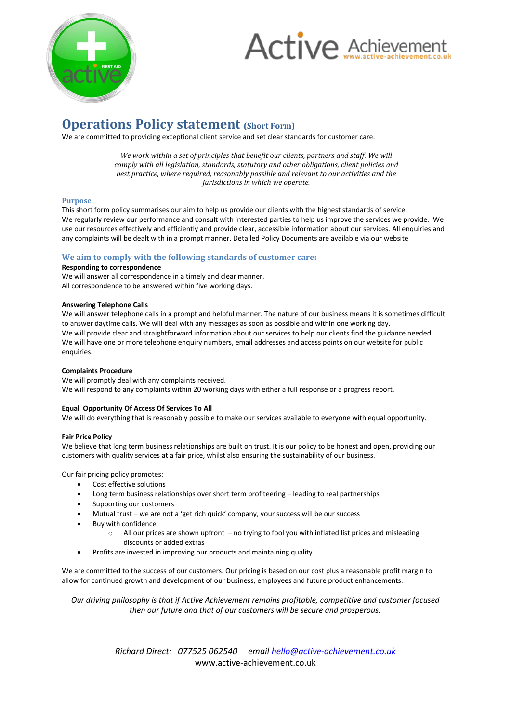

# **Active Achievement**

# **Operations Policy statement (Short Form)**

We are committed to providing exceptional client service and set clear standards for customer care.

*We work within a set of principles that benefit our clients, partners and staff: We will comply with all legislation, standards, statutory and other obligations, client policies and best practice, where required, reasonably possible and relevant to our activities and the jurisdictions in which we operate.*

#### **Purpose**

This short form policy summarises our aim to help us provide our clients with the highest standards of service. We regularly review our performance and consult with interested parties to help us improve the services we provide. We use our resources effectively and efficiently and provide clear, accessible information about our services. All enquiries and any complaints will be dealt with in a prompt manner. Detailed Policy Documents are available via our website

#### **We aim to comply with the following standards of customer care:**

#### **Responding to correspondence**

We will answer all correspondence in a timely and clear manner. All correspondence to be answered within five working days.

#### **Answering Telephone Calls**

We will answer telephone calls in a prompt and helpful manner. The nature of our business means it is sometimes difficult to answer daytime calls. We will deal with any messages as soon as possible and within one working day. We will provide clear and straightforward information about our services to help our clients find the guidance needed. We will have one or more telephone enquiry numbers, email addresses and access points on our website for public enquiries.

#### **Complaints Procedure**

We will promptly deal with any complaints received. We will respond to any complaints within 20 working days with either a full response or a progress report.

#### **Equal Opportunity Of Access Of Services To All**

We will do everything that is reasonably possible to make our services available to everyone with equal opportunity.

#### **Fair Price Policy**

We believe that long term business relationships are built on trust. It is our policy to be honest and open, providing our customers with quality services at a fair price, whilst also ensuring the sustainability of our business.

Our fair pricing policy promotes:

- Cost effective solutions
- Long term business relationships over short term profiteering leading to real partnerships
- Supporting our customers
- Mutual trust we are not a 'get rich quick' company, your success will be our success
- Buy with confidence
	- All our prices are shown upfront no trying to fool you with inflated list prices and misleading discounts or added extras
- Profits are invested in improving our products and maintaining quality

We are committed to the success of our customers. Our pricing is based on our cost plus a reasonable profit margin to allow for continued growth and development of our business, employees and future product enhancements.

*Our driving philosophy is that if Active Achievement remains profitable, competitive and customer focused then our future and that of our customers will be secure and prosperous.*

> *Richard Direct: 077525 062540 email hello@active-achievement.co.uk* www.active-achievement.co.uk